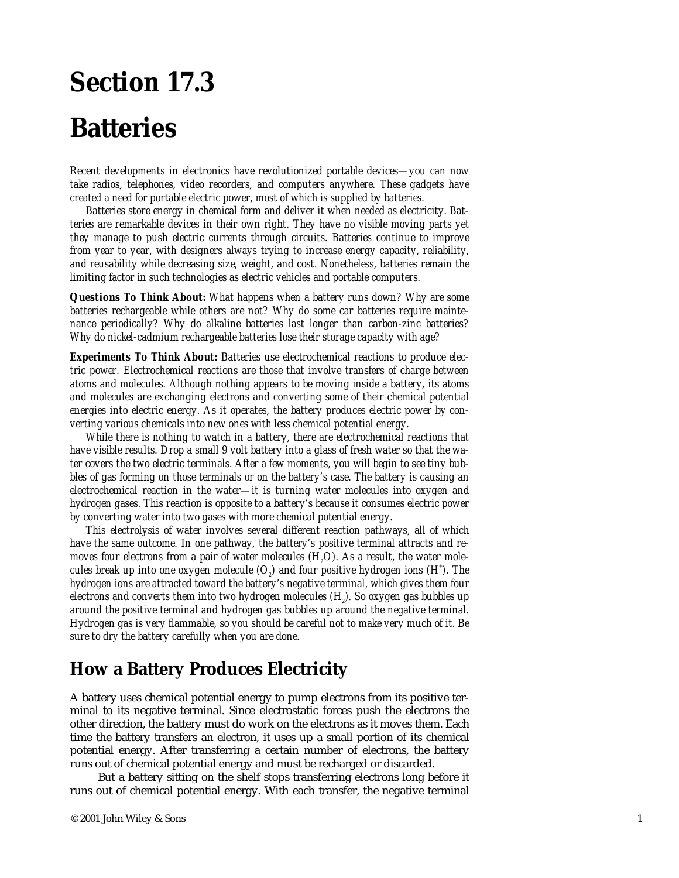# **Section 17.3**

## **Batteries**

*Recent developments in electronics have revolutionized portable devices—you can now take radios, telephones, video recorders, and computers anywhere. These gadgets have created a need for portable electric power, most of which is supplied by batteries.* 

*Batteries store energy in chemical form and deliver it when needed as electricity. Batteries are remarkable devices in their own right. They have no visible moving parts yet they manage to push electric currents through circuits. Batteries continue to improve from year to year, with designers always trying to increase energy capacity, reliability, and reusability while decreasing size, weight, and cost. Nonetheless, batteries remain the limiting factor in such technologies as electric vehicles and portable computers.* 

*Questions To Think About: What happens when a battery runs down? Why are some batteries rechargeable while others are not? Why do some car batteries require maintenance periodically? Why do alkaline batteries last longer than carbon-zinc batteries? Why do nickel-cadmium rechargeable batteries lose their storage capacity with age?* 

*Experiments To Think About: Batteries use electrochemical reactions to produce electric power. Electrochemical reactions are those that involve transfers of charge between atoms and molecules. Although nothing appears to be moving inside a battery, its atoms*  and molecules are exchanging electrons and converting some of their chemical potential *energies into electric energy. As it operates, the battery produces electric power by converting various chemicals into new ones with less chemical potential energy.* 

*While there is nothing to watch in a battery, there are electrochemical reactions that have visible results. Drop a small 9 volt battery into a glass of fresh water so that the water covers the two electric terminals. After a few moments, you will begin to see tiny bubbles of gas forming on those terminals or on the battery's case. The battery is causing an electrochemical reaction in the water—it is turning water molecules into oxygen and hydrogen gases. This reaction is opposite to a battery's because it consumes electric power by converting water into two gases with more chemical potential energy.* 

*This electrolysis of water involves several different reaction pathways, all of which have the same outcome. In one pathway, the battery's positive terminal attracts and removes four electrons from a pair of water molecules (H<sub>2</sub>O). As a result, the water molecules break up into one oxygen molecule*  $(O<sub>x</sub>)$  *and four positive hydrogen ions (H<sup>+</sup>). The hydrogen ions are attracted toward the battery's negative terminal, which gives them four electrons and converts them into two hydrogen molecules (H 2). So oxygen gas bubbles up around the positive terminal and hydrogen gas bubbles up around the negative terminal. Hydrogen gas is very flammable, so you should be careful not to make very much of it. Be sure to dry the battery carefully when you are done.* 

## **How a Battery Produces Electricity**

A battery uses chemical potential energy to pump electrons from its positive terminal to its negative terminal. Since electrostatic forces push the electrons the other direction, the battery must do work on the electrons as it moves them. Each time the battery transfers an electron, it uses up a small portion of its chemical potential energy. After transferring a certain number of electrons, the battery runs out of chemical potential energy and must be recharged or discarded.

But a battery sitting on the shelf stops transferring electrons long before it runs out of chemical potential energy. With each transfer, the negative terminal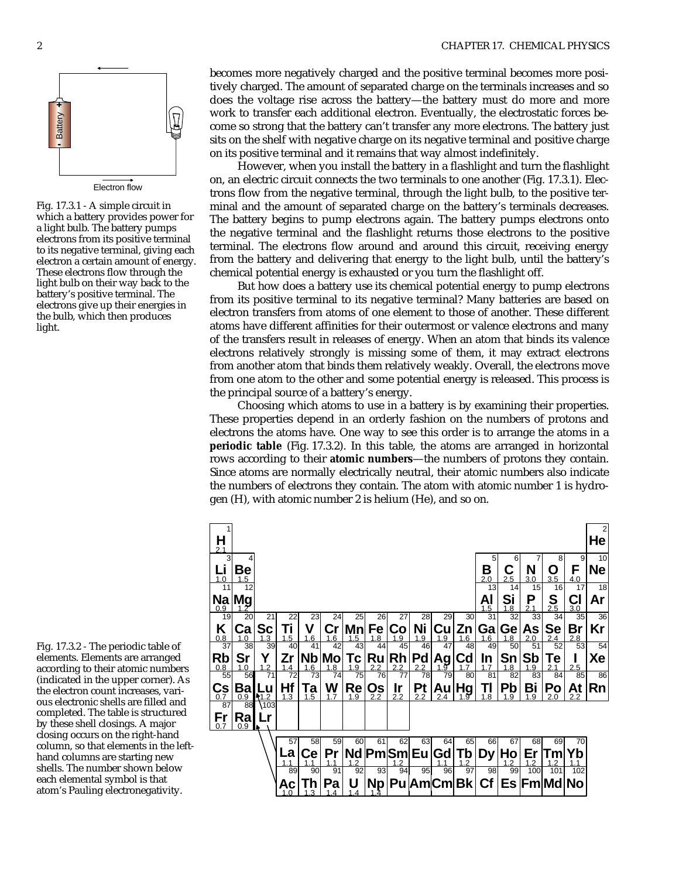

Fig. 17.3.1 - A simple circuit in which a battery provides power for a light bulb. The battery pumps electrons from its positive terminal to its negative terminal, giving each electron a certain amount of energy. These electrons flow through the light bulb on their way back to the battery's positive terminal. The electrons give up their energies in the bulb, which then produces light.

becomes more negatively charged and the positive terminal becomes more positively charged. The amount of separated charge on the terminals increases and so does the voltage rise across the battery—the battery must do more and more work to transfer each additional electron. Eventually, the electrostatic forces become so strong that the battery can't transfer any more electrons. The battery just sits on the shelf with negative charge on its negative terminal and positive charge on its positive terminal and it remains that way almost indefinitely.

However, when you install the battery in a flashlight and turn the flashlight on, an electric circuit connects the two terminals to one another (Fig. 17.3.1). Electrons flow from the negative terminal, through the light bulb, to the positive terminal and the amount of separated charge on the battery's terminals decreases. The battery begins to pump electrons again. The battery pumps electrons onto the negative terminal and the flashlight returns those electrons to the positive terminal. The electrons flow around and around this circuit, receiving energy from the battery and delivering that energy to the light bulb, until the battery's chemical potential energy is exhausted or you turn the flashlight off.

But how does a battery use its chemical potential energy to pump electrons from its positive terminal to its negative terminal? Many batteries are based on electron transfers from atoms of one element to those of another. These different atoms have different affinities for their outermost or valence electrons and many of the transfers result in releases of energy. When an atom that binds its valence electrons relatively strongly is missing some of them, it may extract electrons from another atom that binds them relatively weakly. Overall, the electrons move from one atom to the other and some potential energy is released. This process is the principal source of a battery's energy.

Choosing which atoms to use in a battery is by examining their properties. These properties depend in an orderly fashion on the numbers of protons and electrons the atoms have. One way to see this order is to arrange the atoms in a **periodic table** (Fig. 17.3.2). In this table, the atoms are arranged in horizontal rows according to their **atomic numbers**—the numbers of protons they contain. Since atoms are normally electrically neutral, their atomic numbers also indicate the numbers of electrons they contain. The atom with atomic number 1 is hydrogen (H), with atomic number 2 is helium (He), and so on.



Fig. 17.3.2 - The periodic table of elements. Elements are arranged according to their atomic numbers (indicated in the upper corner). As the electron count increases, various electronic shells are filled and completed. The table is structured by these shell closings. A major closing occurs on the right-hand column, so that elements in the lefthand columns are starting new shells. The number shown below each elemental symbol is that atom's Pauling electronegativity.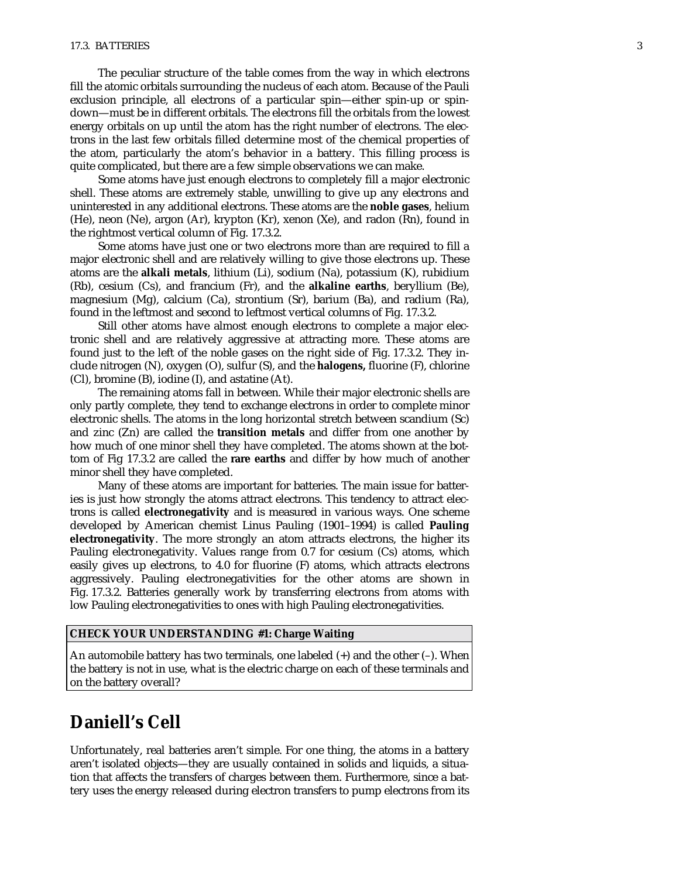The peculiar structure of the table comes from the way in which electrons fill the atomic orbitals surrounding the nucleus of each atom. Because of the Pauli exclusion principle, all electrons of a particular spin —either spin-up or spindown—must be in different orbitals. The electrons fill the orbitals from the lowest energy orbitals on up until the atom has the right number of electrons. The electrons in the last few orbitals filled determine most of the chemical properties of the atom, particularly the atom 's behavior in a battery. This filling process is quite complicated, but there are a few simple observations we can make.

Some atoms have just enough electrons to completely fill a major electronic shell. These atoms are extremely stable, unwilling to give up any electrons and uninterested in any additional electrons. These atoms are the **noble gases**, helium (He), neon (Ne), argon (Ar), krypton (Kr), xenon (Xe), and radon (Rn), found in the rightmost vertical column of Fig. 17.3.2.

Some atoms have just one or two electrons more than are required to fill a major electronic shell and are relatively willing to give those electrons up. These atoms are the **alkali metals**, lithium (Li), sodium (Na), potassium (K), rubidium (Rb), cesium (Cs), and francium (Fr), and the **alkaline earths**, beryllium (Be), magnesium (Mg), calcium (Ca), strontium (Sr), barium (Ba), and radium (Ra), found in the leftmost and second to leftmost vertical columns of Fig. 17.3.2.

Still other atoms have almost enough electrons to complete a major electronic shell and are relatively aggressive at attracting more. These atoms are found just to the left of the noble gases on the right side of Fig. 17.3.2. They include nitrogen (N), oxygen (O), sulfur (S), and the **halogens,** fluorine (F), chlorine (Cl), bromine (B), iodine (I), and astatine (At).

The remaining atoms fall in between. While their major electronic shells are only partly complete, they tend to exchange electrons in order to complete minor electronic shells. The atoms in the long horizontal stretch between scandium (Sc) and zinc (Zn) are called the **transition metals** and differ from one another by how much of one minor shell they have completed. The atoms shown at the bottom of Fig 17.3.2 are called the **rare earths** and differ by how much of another minor shell they have completed.

Many of these atoms are important for batteries. The main issue for batteries is just how strongly the atoms attract electrons. This tendency to attract electrons is called **electronegativity** and is measured in various ways. One scheme developed by American chemist Linus Pauling (1901 –1994) is called **Pauling electronegativity**. The more strongly an atom attracts electrons, the higher its Pauling electronegativity. Values range from 0.7 for cesium (Cs) atoms, which easily gives up electrons, to 4.0 for fluorine (F) atoms, which attracts electrons aggressively. Pauling electronegativities for the other atoms are shown in Fig. 17.3.2. Batteries generally work by transferring electrons from atoms with low Pauling electronegativities to ones with high Pauling electronegativities.

#### **CHECK YOUR UNDERSTANDING #1: Charge Waiting**

An automobile battery has two terminals, one labeled (+) and the other ( –). When the battery is not in use, what is the electric charge on each of these terminals and on the battery overall?

### **Daniell's Cell**

Unfortunately, real batteries aren 't simple. For one thing, the atoms in a battery aren 't isolated objects—they are usually contained in solids and liquids, a situation that affects the transfers of charges between them. Furthermore, since a battery uses the energy released during electron transfers to pump electrons from its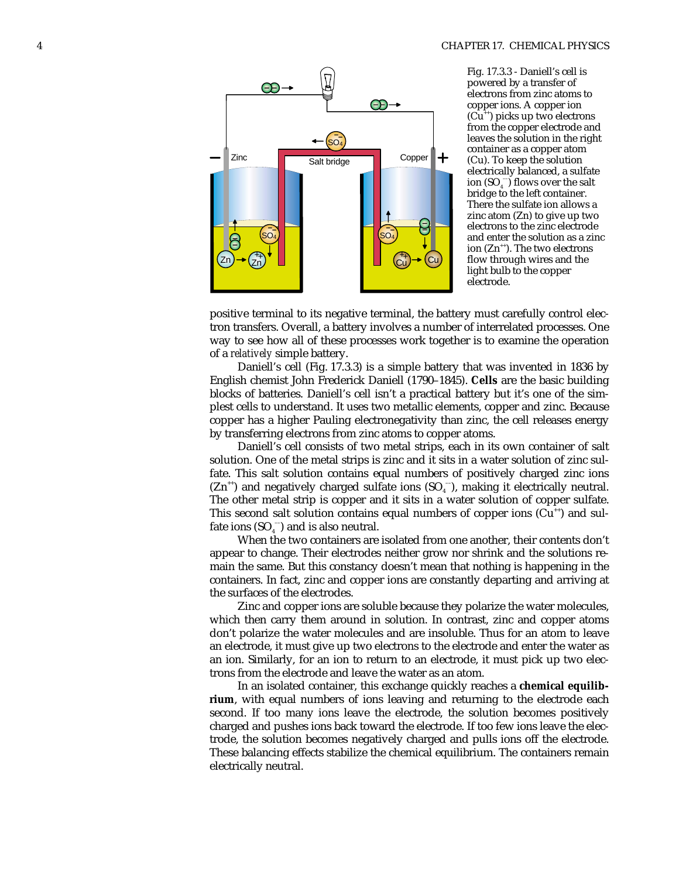

Fig. 17.3.3 - Daniell's cell is powered by a transfer of electrons from zinc atoms to copper ions. A copper ion  $(Cu^+)$  picks up two electrons from the copper electrode and leaves the solution in the right container as a copper atom (Cu). To keep the solution electrically balanced, a sulfate ion  $(SO_4^-)$  flows over the salt bridge to the left container. There the sulfate ion allows a zinc atom (Zn) to give up two electrons to the zinc electrode and enter the solution as a zinc ion  $(Zn^{+})$ . The two electrons flow through wires and the light bulb to the copper electrode.

positive terminal to its negative terminal, the battery must carefully control electron transfers. Overall, a battery involves a number of interrelated processes. One way to see how all of these processes work together is to examine the operation of a *relatively* simple battery.

Daniell's cell (Fig. 17.3.3) is a simple battery that was invented in 1836 by English chemist John Frederick Daniell (1790–1845). **Cells** are the basic building blocks of batteries. Daniell's cell isn't a practical battery but it's one of the simplest cells to understand. It uses two metallic elements, copper and zinc. Because copper has a higher Pauling electronegativity than zinc, the cell releases energy by transferring electrons from zinc atoms to copper atoms.

Daniell's cell consists of two metal strips, each in its own container of salt solution. One of the metal strips is zinc and it sits in a water solution of zinc sulfate. This salt solution contains equal numbers of positively charged zinc ions  $(Zn^{+})$  and negatively charged sulfate ions  $(SO<sub>4</sub><sup>-</sup>)$ , making it electrically neutral. The other metal strip is copper and it sits in a water solution of copper sulfate. This second salt solution contains equal numbers of copper ions  $(Cu^{+})$  and sulfate ions  $(SO<sub>4</sub><sup>-</sup>)$  and is also neutral.

When the two containers are isolated from one another, their contents don't appear to change. Their electrodes neither grow nor shrink and the solutions remain the same. But this constancy doesn't mean that nothing is happening in the containers. In fact, zinc and copper ions are constantly departing and arriving at the surfaces of the electrodes.

Zinc and copper ions are soluble because they polarize the water molecules, which then carry them around in solution. In contrast, zinc and copper atoms don't polarize the water molecules and are insoluble. Thus for an atom to leave an electrode, it must give up two electrons to the electrode and enter the water as an ion. Similarly, for an ion to return to an electrode, it must pick up two electrons from the electrode and leave the water as an atom.

In an isolated container, this exchange quickly reaches a **chemical equilibrium**, with equal numbers of ions leaving and returning to the electrode each second. If too many ions leave the electrode, the solution becomes positively charged and pushes ions back toward the electrode. If too few ions leave the electrode, the solution becomes negatively charged and pulls ions off the electrode. These balancing effects stabilize the chemical equilibrium. The containers remain electrically neutral.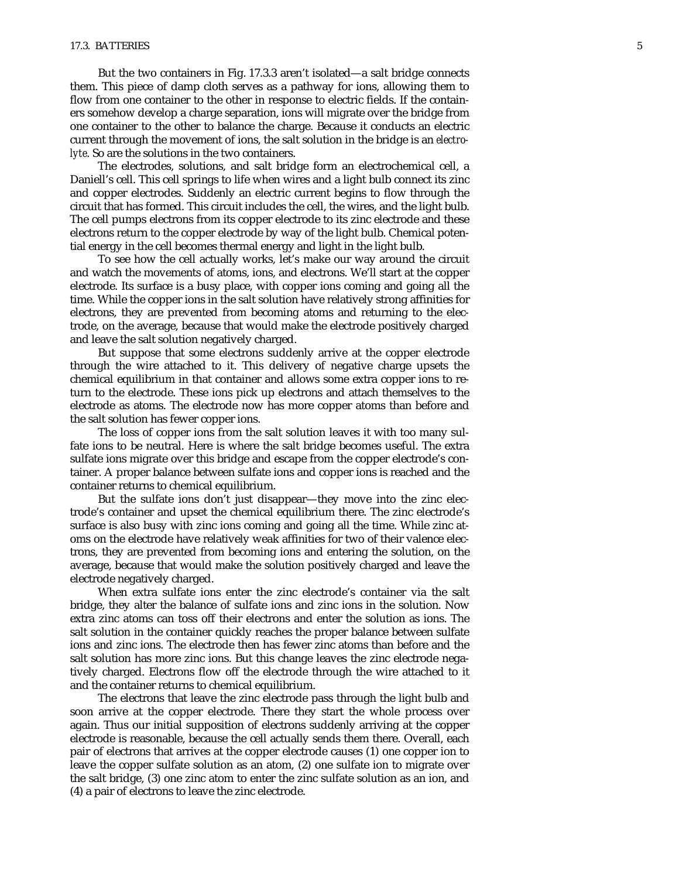#### 17.3. BATTERIES 5

But the two containers in Fig. 17.3.3 aren 't isolated —a salt bridge connects them. This piece of damp cloth serves as a pathway for ions, allowing them to flow from one container to the other in response to electric fields. If the containers somehow develop a charge separation, ions will migrate over the bridge from one container to the other to balance the charge. Because it conducts an electric current through the movement of ions, the salt solution in the bridge is an *electrolyte*. So are the solutions in the two containers.

The electrodes, solutions, and salt bridge form an electrochemical cell, a Daniell 's cell. This cell springs to life when wires and a light bulb connect its zinc and copper electrodes. Suddenly an electric current begins to flow through the circuit that has formed. This circuit includes the cell, the wires, and the light bulb. The cell pumps electrons from its copper electrode to its zinc electrode and these electrons return to the copper electrode by way of the light bulb. Chemical potential energy in the cell becomes thermal energy and light in the light bulb.

To see how the cell actually works, let 's make our way around the circuit and watch the movements of atoms, ions, and electrons. We 'll start at the copper electrode. Its surface is a busy place, with copper ions coming and going all the time. While the copper ions in the salt solution have relatively strong affinities for electrons, they are prevented from becoming atoms and returning to the electrode, on the average, because that would make the electrode positively charged and leave the salt solution negatively charged.

But suppose that some electrons suddenly arrive at the copper electrode through the wire attached to it. This delivery of negative charge upsets the chemical equilibrium in that container and allows some extra copper ions to return to the electrode. These ions pick up electrons and attach themselves to the electrode as atoms. The electrode now has more copper atoms than before and the salt solution has fewer copper ions.

The loss of copper ions from the salt solution leaves it with too many sulfate ions to be neutral. Here is where the salt bridge becomes useful. The extra sulfate ions migrate over this bridge and escape from the copper electrode 's container. A proper balance between sulfate ions and copper ions is reached and the container returns to chemical equilibrium.

But the sulfate ions don 't just disappear—they move into the zinc electrode's container and upset the chemical equilibrium there. The zinc electrode's surface is also busy with zinc ions coming and going all the time. While zinc atoms on the electrode have relatively weak affinities for two of their valence electrons, they are prevented from becoming ions and entering the solution, on the average, because that would make the solution positively charged and leave the electrode negatively charged.

When extra sulfate ions enter the zinc electrode 's container via the salt bridge, they alter the balance of sulfate ions and zinc ions in the solution. Now extra zinc atoms can toss off their electrons and enter the solution as ions. The salt solution in the container quickly reaches the proper balance between sulfate ions and zinc ions. The electrode then has fewer zinc atoms than before and the salt solution has more zinc ions. But this change leaves the zinc electrode negatively charged. Electrons flow off the electrode through the wire attached to it and the container returns to chemical equilibrium.

The electrons that leave the zinc electrode pass through the light bulb and soon arrive at the copper electrode. There they start the whole process over again. Thus our initial supposition of electrons suddenly arriving at the copper electrode is reasonable, because the cell actually sends them there. Overall, each pair of electrons that arrives at the copper electrode causes (1) one copper ion to leave the copper sulfate solution as an atom, (2) one sulfate ion to migrate over the salt bridge, (3) one zinc atom to enter the zinc sulfate solution as an ion, and (4) a pair of electrons to leave the zinc electrode.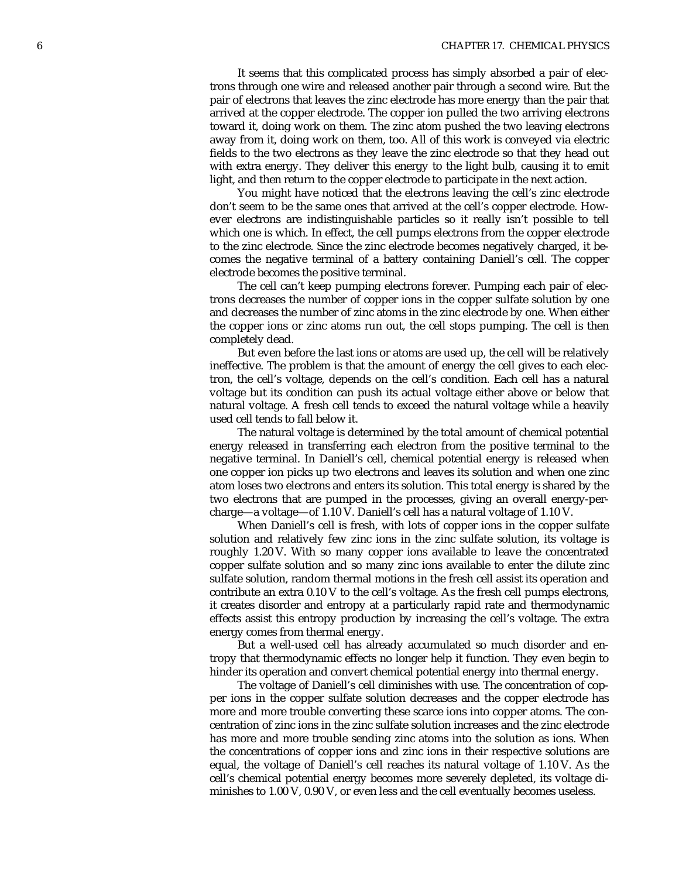It seems that this complicated process has simply absorbed a pair of electrons through one wire and released another pair through a second wire. But the pair of electrons that leaves the zinc electrode has more energy than the pair that arrived at the copper electrode. The copper ion pulled the two arriving electrons toward it, doing work on them. The zinc atom pushed the two leaving electrons away from it, doing work on them, too. All of this work is conveyed via electric fields to the two electrons as they leave the zinc electrode so that they head out with extra energy. They deliver this energy to the light bulb, causing it to emit light, and then return to the copper electrode to participate in the next action.

You might have noticed that the electrons leaving the cell's zinc electrode don't seem to be the same ones that arrived at the cell's copper electrode. However electrons are indistinguishable particles so it really isn't possible to tell which one is which. In effect, the cell pumps electrons from the copper electrode to the zinc electrode. Since the zinc electrode becomes negatively charged, it becomes the negative terminal of a battery containing Daniell's cell. The copper electrode becomes the positive terminal.

The cell can't keep pumping electrons forever. Pumping each pair of electrons decreases the number of copper ions in the copper sulfate solution by one and decreases the number of zinc atoms in the zinc electrode by one. When either the copper ions or zinc atoms run out, the cell stops pumping. The cell is then completely dead.

But even before the last ions or atoms are used up, the cell will be relatively ineffective. The problem is that the amount of energy the cell gives to each electron, the cell's voltage, depends on the cell's condition. Each cell has a natural voltage but its condition can push its actual voltage either above or below that natural voltage. A fresh cell tends to exceed the natural voltage while a heavily used cell tends to fall below it.

The natural voltage is determined by the total amount of chemical potential energy released in transferring each electron from the positive terminal to the negative terminal. In Daniell's cell, chemical potential energy is released when one copper ion picks up two electrons and leaves its solution and when one zinc atom loses two electrons and enters its solution. This total energy is shared by the two electrons that are pumped in the processes, giving an overall energy-percharge—a voltage—of 1.10 V. Daniell's cell has a natural voltage of 1.10 V.

When Daniell's cell is fresh, with lots of copper ions in the copper sulfate solution and relatively few zinc ions in the zinc sulfate solution, its voltage is roughly 1.20 V. With so many copper ions available to leave the concentrated copper sulfate solution and so many zinc ions available to enter the dilute zinc sulfate solution, random thermal motions in the fresh cell assist its operation and contribute an extra 0.10 V to the cell's voltage. As the fresh cell pumps electrons, it creates disorder and entropy at a particularly rapid rate and thermodynamic effects assist this entropy production by increasing the cell's voltage. The extra energy comes from thermal energy.

But a well-used cell has already accumulated so much disorder and entropy that thermodynamic effects no longer help it function. They even begin to hinder its operation and convert chemical potential energy into thermal energy.

The voltage of Daniell's cell diminishes with use. The concentration of copper ions in the copper sulfate solution decreases and the copper electrode has more and more trouble converting these scarce ions into copper atoms. The concentration of zinc ions in the zinc sulfate solution increases and the zinc electrode has more and more trouble sending zinc atoms into the solution as ions. When the concentrations of copper ions and zinc ions in their respective solutions are equal, the voltage of Daniell's cell reaches its natural voltage of 1.10 V. As the cell's chemical potential energy becomes more severely depleted, its voltage diminishes to 1.00 V, 0.90 V, or even less and the cell eventually becomes useless.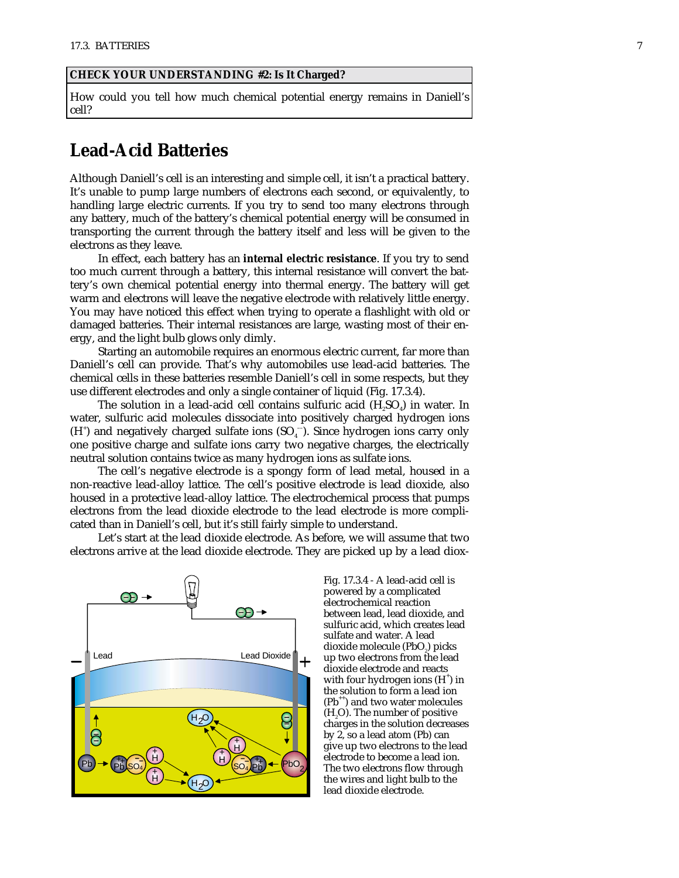#### **CHECK YOUR UNDERSTANDING #2: Is It Charged?**

How could you tell how much chemical potential energy remains in Daniell 's cell?

### **Lead-Acid Batteries**

Although Daniell 's cell is an interesting and simple cell, it isn 't a practical battery. It 's unable to pump large numbers of electrons each second, or equivalently, to handling large electric currents. If you try to send too many electrons through any battery, much of the battery 's chemical potential energy will be consumed in transporting the current through the battery itself and less will be given to the electrons as they leave.

In effect, each battery has an **internal electric resistance**. If you try to send too much current through a battery, this internal resistance will convert the battery's own chemical potential energy into thermal energy. The battery will get warm and electrons will leave the negative electrode with relatively little energy. You may have noticed this effect when trying to operate a flashlight with old or damaged batteries. Their internal resistances are large, wasting most of their energy, and the light bulb glows only dimly.

Starting an automobile requires an enormous electric current, far more than Daniell's cell can provide. That's why automobiles use lead-acid batteries. The chemical cells in these batteries resemble Daniell 's cell in some respects, but they use different electrodes and only a single container of liquid (Fig. 17.3.4).

The solution in a lead-acid cell contains sulfuric acid  $(\mathrm{H}_{\scriptscriptstyle{2}}\mathrm{SO}_{\scriptscriptstyle{4}})$  in water. In water, sulfuric acid molecules dissociate into positively charged hydrogen ions (H<sup>+</sup>) and negatively charged sulfate ions (SO<sub>4</sub><sup>-</sup>). Since hydrogen ions carry only one positive charge and sulfate ions carry two negative charges, the electrically neutral solution contains twice as many hydrogen ions as sulfate ions.

The cell 's negative electrode is a spongy form of lead metal, housed in a non-reactive lead-alloy lattice. The cell 's positive electrode is lead dioxide, also housed in a protective lead-alloy lattice. The electrochemical process that pumps electrons from the lead dioxide electrode to the lead electrode is more complicated than in Daniell's cell, but it's still fairly simple to understand.

Let 's start at the lead dioxide electrode. As before, we will assume that two electrons arrive at the lead dioxide electrode. They are picked up by a lead diox-



Fig. 17.3.4 - A lead-acid cell is powered by a complicated electrochemical reaction between lead, lead dioxide, and sulfuric acid, which creates lead sulfate and water. A lead dioxide molecule (PbO ) picks  $\frac{1}{2}$  are two electrons from the lead dioxide electrode and reacts with four hydrogen ions (H<sup>+</sup>) in the solution to form a lead ion  $(Pb^{+})$  and two water molecules  $(H<sub>2</sub>O)$ . The number of positive  $\frac{1}{2}$  charges in the solution decreases by 2, so a lead atom (Pb) can give up two electrons to the lead electrode to become a lead ion. The two electrons flow through the wires and light bulb to the lead dioxide electrode.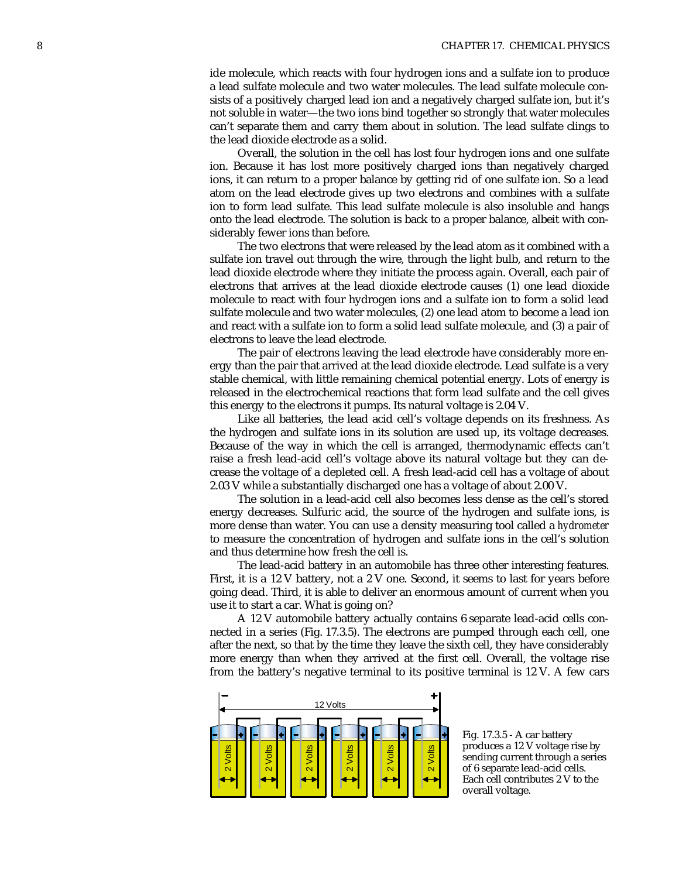ide molecule, which reacts with four hydrogen ions and a sulfate ion to produce a lead sulfate molecule and two water molecules. The lead sulfate molecule consists of a positively charged lead ion and a negatively charged sulfate ion, but it's not soluble in water—the two ions bind together so strongly that water molecules can't separate them and carry them about in solution. The lead sulfate clings to the lead dioxide electrode as a solid.

Overall, the solution in the cell has lost four hydrogen ions and one sulfate ion. Because it has lost more positively charged ions than negatively charged ions, it can return to a proper balance by getting rid of one sulfate ion. So a lead atom on the lead electrode gives up two electrons and combines with a sulfate ion to form lead sulfate. This lead sulfate molecule is also insoluble and hangs onto the lead electrode. The solution is back to a proper balance, albeit with considerably fewer ions than before.

The two electrons that were released by the lead atom as it combined with a sulfate ion travel out through the wire, through the light bulb, and return to the lead dioxide electrode where they initiate the process again. Overall, each pair of electrons that arrives at the lead dioxide electrode causes (1) one lead dioxide molecule to react with four hydrogen ions and a sulfate ion to form a solid lead sulfate molecule and two water molecules, (2) one lead atom to become a lead ion and react with a sulfate ion to form a solid lead sulfate molecule, and (3) a pair of electrons to leave the lead electrode.

The pair of electrons leaving the lead electrode have considerably more energy than the pair that arrived at the lead dioxide electrode. Lead sulfate is a very stable chemical, with little remaining chemical potential energy. Lots of energy is released in the electrochemical reactions that form lead sulfate and the cell gives this energy to the electrons it pumps. Its natural voltage is 2.04 V.

Like all batteries, the lead acid cell's voltage depends on its freshness. As the hydrogen and sulfate ions in its solution are used up, its voltage decreases. Because of the way in which the cell is arranged, thermodynamic effects can't raise a fresh lead-acid cell's voltage above its natural voltage but they can decrease the voltage of a depleted cell. A fresh lead-acid cell has a voltage of about 2.03 V while a substantially discharged one has a voltage of about 2.00 V.

The solution in a lead-acid cell also becomes less dense as the cell's stored energy decreases. Sulfuric acid, the source of the hydrogen and sulfate ions, is more dense than water. You can use a density measuring tool called a *hydrometer* to measure the concentration of hydrogen and sulfate ions in the cell's solution and thus determine how fresh the cell is.

The lead-acid battery in an automobile has three other interesting features. First, it is a 12 V battery, not a 2 V one. Second, it seems to last for years before going dead. Third, it is able to deliver an enormous amount of current when you use it to start a car. What is going on?

A 12 V automobile battery actually contains 6 separate lead-acid cells connected in a series (Fig. 17.3.5). The electrons are pumped through each cell, one after the next, so that by the time they leave the sixth cell, they have considerably more energy than when they arrived at the first cell. Overall, the voltage rise from the battery's negative terminal to its positive terminal is 12 V. A few cars



Fig. 17.3.5 - A car battery produces a 12 V voltage rise by sending current through a series of 6 separate lead-acid cells. Each cell contributes 2 V to the overall voltage.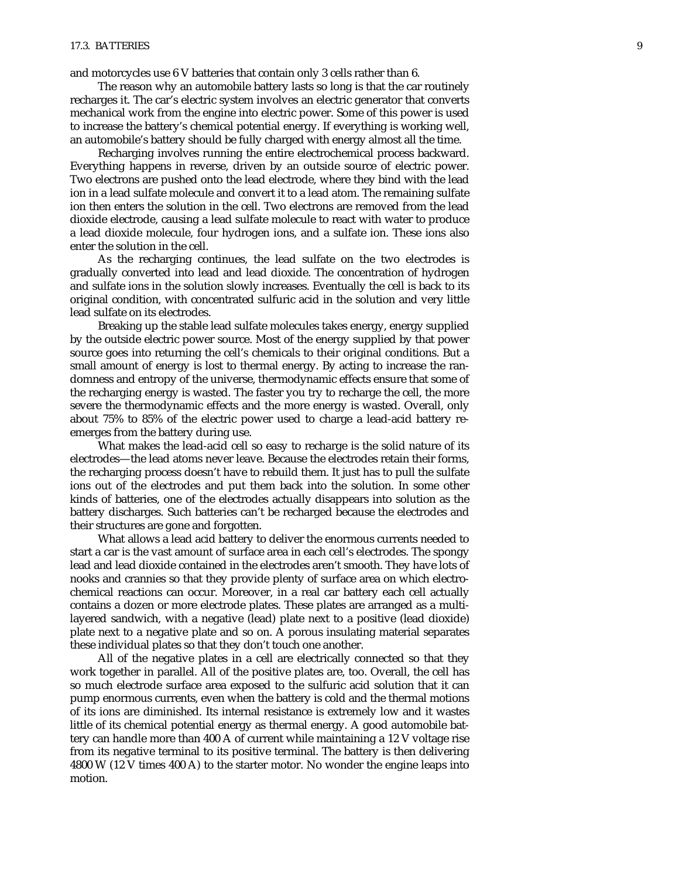and motorcycles use 6 V batteries that contain only 3 cells rather than 6.

The reason why an automobile battery lasts so long is that the car routinely recharges it. The car 's electric system involves an electric generator that converts mechanical work from the engine into electric power. Some of this power is used to increase the battery 's chemical potential energy. If everything is working well, an automobile 's battery should be fully charged with energy almost all the time.

Recharging involves running the entire electrochemical process backward. Everything happens in reverse, driven by an outside source of electric power. Two electrons are pushed onto the lead electrode, where they bind with the lead ion in a lead sulfate molecule and convert it to a lead atom. The remaining sulfate ion then enters the solution in the cell. Two electrons are removed from the lead dioxide electrode, causing a lead sulfate molecule to react with water to produce a lead dioxide molecule, four hydrogen ions, and a sulfate ion. These ions also enter the solution in the cell.

As the recharging continues, the lead sulfate on the two electrodes is gradually converted into lead and lead dioxide. The concentration of hydrogen and sulfate ions in the solution slowly increases. Eventually the cell is back to its original condition, with concentrated sulfuric acid in the solution and very little lead sulfate on its electrodes.

Breaking up the stable lead sulfate molecules takes energy, energy supplied by the outside electric power source. Most of the energy supplied by that power source goes into returning the cell 's chemicals to their original conditions. But a small amount of energy is lost to thermal energy. By acting to increase the randomness and entropy of the universe, thermodynamic effects ensure that some of the recharging energy is wasted. The faster you try to recharge the cell, the more severe the thermodynamic effects and the more energy is wasted. Overall, only about 75% to 85% of the electric power used to charge a lead-acid battery reemerges from the battery during use.

What makes the lead-acid cell so easy to recharge is the solid nature of its electrodes—the lead atoms never leave. Because the electrodes retain their forms, the recharging process doesn 't have to rebuild them. It just has to pull the sulfate ions out of the electrodes and put them back into the solution. In some other kinds of batteries, one of the electrodes actually disappears into solution as the battery discharges. Such batteries can 't be recharged because the electrodes and their structures are gone and forgotten.

What allows a lead acid battery to deliver the enormous currents needed to start a car is the vast amount of surface area in each cell 's electrodes. The spongy lead and lead dioxide contained in the electrodes aren 't smooth. They have lots of nooks and crannies so that they provide plenty of surface area on which electrochemical reactions can occur. Moreover, in a real car battery each cell actually contains a dozen or more electrode plates. These plates are arranged as a multilayered sandwich, with a negative (lead) plate next to a positive (lead dioxide) plate next to a negative plate and so on. A porous insulating material separates these individual plates so that they don 't touch one another.

All of the negative plates in a cell are electrically connected so that they work together in parallel. All of the positive plates are, too. Overall, the cell has so much electrode surface area exposed to the sulfuric acid solution that it can pump enormous currents, even when the battery is cold and the thermal motions of its ions are diminished. Its internal resistance is extremely low and it wastes little of its chemical potential energy as thermal energy. A good automobile battery can handle more than 400 A of current while maintaining a 12 V voltage rise from its negative terminal to its positive terminal. The battery is then delivering 4800 W (12 V times 400 A) to the starter motor. No wonder the engine leaps into motion.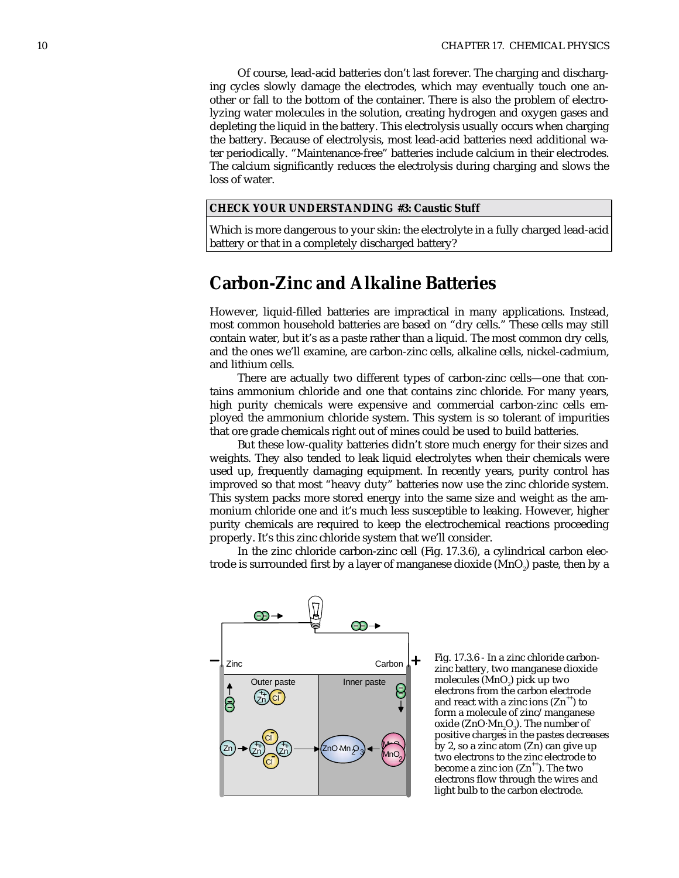Of course, lead-acid batteries don't last forever. The charging and discharging cycles slowly damage the electrodes, which may eventually touch one another or fall to the bottom of the container. There is also the problem of electrolyzing water molecules in the solution, creating hydrogen and oxygen gases and depleting the liquid in the battery. This electrolysis usually occurs when charging the battery. Because of electrolysis, most lead-acid batteries need additional water periodically. "Maintenance-free" batteries include calcium in their electrodes. The calcium significantly reduces the electrolysis during charging and slows the loss of water.

#### **CHECK YOUR UNDERSTANDING #3: Caustic Stuff**

Which is more dangerous to your skin: the electrolyte in a fully charged lead-acid battery or that in a completely discharged battery?

### **Carbon-Zinc and Alkaline Batteries**

However, liquid-filled batteries are impractical in many applications. Instead, most common household batteries are based on "dry cells." These cells may still contain water, but it's as a paste rather than a liquid. The most common dry cells, and the ones we'll examine, are carbon-zinc cells, alkaline cells, nickel-cadmium, and lithium cells.

There are actually two different types of carbon-zinc cells—one that contains ammonium chloride and one that contains zinc chloride. For many years, high purity chemicals were expensive and commercial carbon-zinc cells employed the ammonium chloride system. This system is so tolerant of impurities that ore grade chemicals right out of mines could be used to build batteries.

But these low-quality batteries didn't store much energy for their sizes and weights. They also tended to leak liquid electrolytes when their chemicals were used up, frequently damaging equipment. In recently years, purity control has improved so that most "heavy duty" batteries now use the zinc chloride system. This system packs more stored energy into the same size and weight as the ammonium chloride one and it's much less susceptible to leaking. However, higher purity chemicals are required to keep the electrochemical reactions proceeding properly. It's this zinc chloride system that we'll consider.

In the zinc chloride carbon-zinc cell (Fig. 17.3.6), a cylindrical carbon electrode is surrounded first by a layer of manganese dioxide  $(MnO<sub>a</sub>)$  paste, then by a

![](_page_9_Figure_9.jpeg)

zinc battery, two manganese dioxide molecules (MnO<sub>2</sub>) pick up two electrons from the carbon electrode and react with a zinc ions  $(Zn^{+})$  to form a molecule of zinc/manganese  $\alpha$ ide (ZnO·Mn<sub>2</sub>O<sub>3</sub>). The number of positive charges in the pastes decreases by 2, so a zinc atom (Zn) can give up two electrons to the zinc electrode to become a zinc ion  $(Zn^{+})$ . The two electrons flow through the wires and light bulb to the carbon electrode.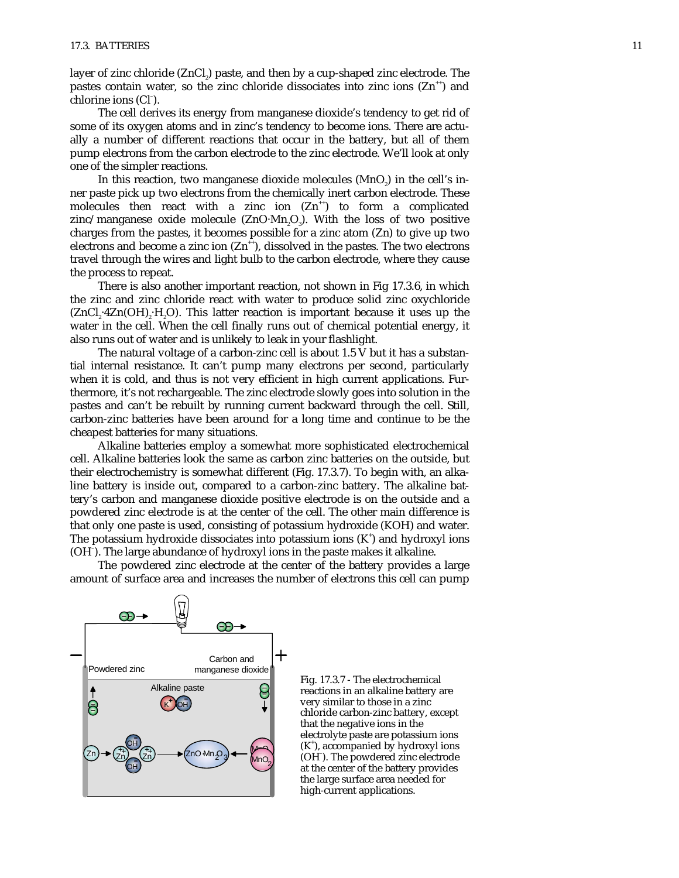layer of zinc chloride (ZnCl 2) paste, and then by a cup-shaped zinc electrode. The pastes contain water, so the zinc chloride dissociates into zinc ions  $(Zn^{+})$  and chlorine ions (Cl – ).

The cell derives its energy from manganese dioxide 's tendency to get rid of some of its oxygen atoms and in zinc 's tendency to become ions. There are actually a number of different reactions that occur in the battery, but all of them pump electrons from the carbon electrode to the zinc electrode. We 'll look at only one of the simpler reactions.

In this reaction, two manganese dioxide molecules (MnO $_{\textrm{\tiny{\it{2}}}}$ ) in the cell's inner paste pick up two electrons from the chemically inert carbon electrode. These molecules then react with a zinc ion  $(Zn^{+})$  to form a complicated zinc/manganese oxide molecule (ZnO·Mn<sub>2</sub>O<sub>3</sub>). With the loss of two positive charges from the pastes, it becomes possible for a zinc atom (Zn) to give up two electrons and become a zinc ion  $(Zn^{+})$ , dissolved in the pastes. The two electrons travel through the wires and light bulb to the carbon electrode, where they cause the process to repeat.

There is also another important reaction, not shown in Fig 17.3.6, in which the zinc and zinc chloride react with water to produce solid zinc oxychloride  $(ZnCl<sub>2</sub>·4Zn(OH)<sub>2</sub>·H<sub>2</sub>O)$ . This latter reaction is important because it uses up the water in the cell. When the cell finally runs out of chemical potential energy, it also runs out of water and is unlikely to leak in your flashlight.

The natural voltage of a carbon-zinc cell is about 1.5 V but it has a substantial internal resistance. It can't pump many electrons per second, particularly when it is cold, and thus is not very efficient in high current applications. Furthermore, it's not rechargeable. The zinc electrode slowly goes into solution in the pastes and can 't be rebuilt by running current backward through the cell. Still, carbon-zinc batteries have been around for a long time and continue to be the cheapest batteries for many situations.

Alkaline batteries employ a somewhat more sophisticated electrochemical cell. Alkaline batteries look the same as carbon zinc batteries on the outside, but their electrochemistry is somewhat different (Fig. 17.3.7). To begin with, an alkaline battery is inside out, compared to a carbon-zinc battery. The alkaline battery's carbon and manganese dioxide positive electrode is on the outside and a powdered zinc electrode is at the center of the cell. The other main difference is that only one paste is used, consisting of potassium hydroxide (KOH) and water. The potassium hydroxide dissociates into potassium ions  $(K^+)$  and hydroxyl ions (OH – ). The large abundance of hydroxyl ions in the paste makes it alkaline.

The powdered zinc electrode at the center of the battery provides a large amount of surface area and increases the number of electrons this cell can pump

![](_page_10_Figure_8.jpeg)

Fig. 17.3.7 - The electrochemical reactions in an alkaline battery are very similar to those in a zinc chloride carbon-zinc battery, except that the negative ions in the electrolyte paste are potassium ions (K + ), accompanied by hydroxyl ions (OH – ). The powdered zinc electrode at the center of the battery provides the large surface area needed for high-current applications.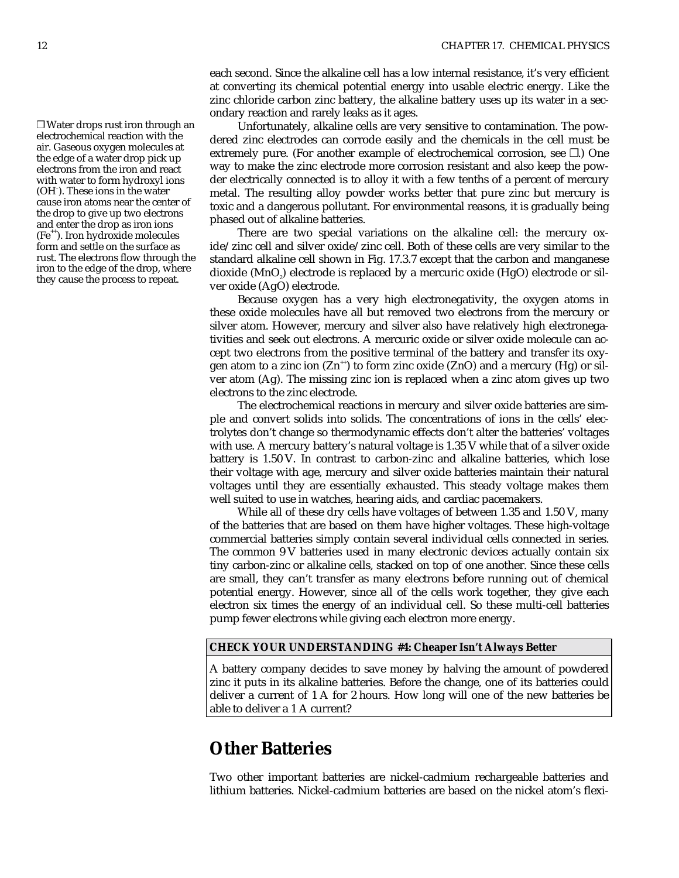each second. Since the alkaline cell has a low internal resistance, it's very efficient at converting its chemical potential energy into usable electric energy. Like the zinc chloride carbon zinc battery, the alkaline battery uses up its water in a secondary reaction and rarely leaks as it ages.

Unfortunately, alkaline cells are very sensitive to contamination. The powdered zinc electrodes can corrode easily and the chemicals in the cell must be extremely pure. (For another example of electrochemical corrosion, see ❐.) One way to make the zinc electrode more corrosion resistant and also keep the powder electrically connected is to alloy it with a few tenths of a percent of mercury metal. The resulting alloy powder works better that pure zinc but mercury is toxic and a dangerous pollutant. For environmental reasons, it is gradually being phased out of alkaline batteries.

There are two special variations on the alkaline cell: the mercury oxide/zinc cell and silver oxide/zinc cell. Both of these cells are very similar to the standard alkaline cell shown in Fig. 17.3.7 except that the carbon and manganese dioxide (MnO<sub>2</sub>) electrode is replaced by a mercuric oxide (HgO) electrode or silver oxide (AgO) electrode.

Because oxygen has a very high electronegativity, the oxygen atoms in these oxide molecules have all but removed two electrons from the mercury or silver atom. However, mercury and silver also have relatively high electronegativities and seek out electrons. A mercuric oxide or silver oxide molecule can accept two electrons from the positive terminal of the battery and transfer its oxygen atom to a zinc ion  $(Zn^{+})$  to form zinc oxide  $(ZnO)$  and a mercury (Hg) or silver atom (Ag). The missing zinc ion is replaced when a zinc atom gives up two electrons to the zinc electrode.

The electrochemical reactions in mercury and silver oxide batteries are simple and convert solids into solids. The concentrations of ions in the cells' electrolytes don't change so thermodynamic effects don't alter the batteries' voltages with use. A mercury battery's natural voltage is 1.35 V while that of a silver oxide battery is 1.50 V. In contrast to carbon-zinc and alkaline batteries, which lose their voltage with age, mercury and silver oxide batteries maintain their natural voltages until they are essentially exhausted. This steady voltage makes them well suited to use in watches, hearing aids, and cardiac pacemakers.

While all of these dry cells have voltages of between 1.35 and 1.50 V, many of the batteries that are based on them have higher voltages. These high-voltage commercial batteries simply contain several individual cells connected in series. The common 9 V batteries used in many electronic devices actually contain six tiny carbon-zinc or alkaline cells, stacked on top of one another. Since these cells are small, they can't transfer as many electrons before running out of chemical potential energy. However, since all of the cells work together, they give each electron six times the energy of an individual cell. So these multi-cell batteries pump fewer electrons while giving each electron more energy.

#### **CHECK YOUR UNDERSTANDING #4: Cheaper Isn't Always Better**

A battery company decides to save money by halving the amount of powdered zinc it puts in its alkaline batteries. Before the change, one of its batteries could deliver a current of 1 A for 2 hours. How long will one of the new batteries be able to deliver a 1 A current?

### **Other Batteries**

Two other important batteries are nickel-cadmium rechargeable batteries and lithium batteries. Nickel-cadmium batteries are based on the nickel atom's flexi-

❐ Water drops rust iron through an electrochemical reaction with the air. Gaseous oxygen molecules at the edge of a water drop pick up electrons from the iron and react with water to form hydroxyl ions (OH<sup>-</sup>). These ions in the water cause iron atoms near the center of the drop to give up two electrons and enter the drop as iron ions  $(Fe^{+t})$ . Iron hydroxide molecules form and settle on the surface as rust. The electrons flow through the iron to the edge of the drop, where they cause the process to repeat.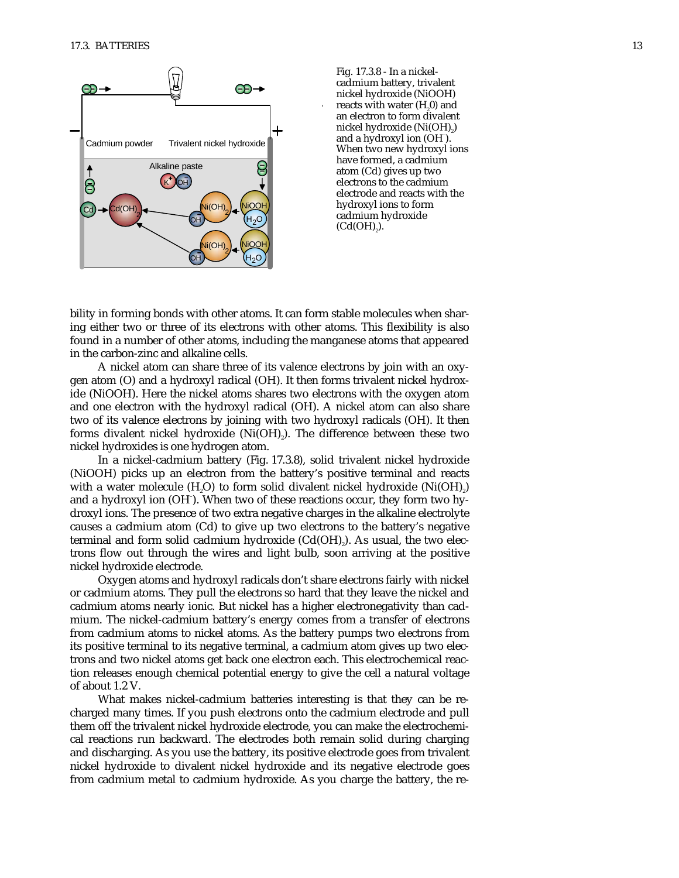![](_page_12_Figure_1.jpeg)

Fig. 17.3.8 - In a nickelcadmium battery, trivalent nickel hydroxide (NiOOH) reacts with water  $(H_2^0)$  and an electron to form divalent nickel hydroxide (Ni(OH) 2 ) and a hydroxyl ion (OH<sup>-</sup>). When two new hydroxyl ions have formed, a cadmium atom (Cd) gives up two electrons to the cadmium electrode and reacts with the hydroxyl ions to form cadmium hydroxide  $(Cd(OH)_2)$ .

bility in forming bonds with other atoms. It can form stable molecules when sharing either two or three of its electrons with other atoms. This flexibility is also found in a number of other atoms, including the manganese atoms that appeared in the carbon-zinc and alkaline cells.

A nickel atom can share three of its valence electrons by join with an oxygen atom (O) and a hydroxyl radical (OH). It then forms trivalent nickel hydroxide (NiOOH). Here the nickel atoms shares two electrons with the oxygen atom and one electron with the hydroxyl radical (OH). A nickel atom can also share two of its valence electrons by joining with two hydroxyl radicals (OH). It then forms divalent nickel hydroxide (Ni(OH) 2). The difference between these two nickel hydroxides is one hydrogen atom.

In a nickel-cadmium battery (Fig. 17.3.8), solid trivalent nickel hydroxide (NiOOH) picks up an electron from the battery 's positive terminal and reacts with a water molecule (H<sub>2</sub>O) to form solid divalent nickel hydroxide (Ni(OH)<sub>2</sub>) and a hydroxyl ion (OH). When two of these reactions occur, they form two hydroxyl ions. The presence of two extra negative charges in the alkaline electrolyte causes a cadmium atom (Cd) to give up two electrons to the battery 's negative terminal and form solid cadmium hydroxide (Cd(OH) 2). As usual, the two electrons flow out through the wires and light bulb, soon arriving at the positive nickel hydroxide electrode.

Oxygen atoms and hydroxyl radicals don 't share electrons fairly with nickel or cadmium atoms. They pull the electrons so hard that they leave the nickel and cadmium atoms nearly ionic. But nickel has a higher electronegativity than cadmium. The nickel-cadmium battery's energy comes from a transfer of electrons from cadmium atoms to nickel atoms. As the battery pumps two electrons from its positive terminal to its negative terminal, a cadmium atom gives up two electrons and two nickel atoms get back one electron each. This electrochemical reaction releases enough chemical potential energy to give the cell a natural voltage of about 1.2 V.

What makes nickel-cadmium batteries interesting is that they can be recharged many times. If you push electrons onto the cadmium electrode and pull them off the trivalent nickel hydroxide electrode, you can make the electrochemical reactions run backward. The electrodes both remain solid during charging and discharging. As you use the battery, its positive electrode goes from trivalent nickel hydroxide to divalent nickel hydroxide and its negative electrode goes from cadmium metal to cadmium hydroxide. As you charge the battery, the re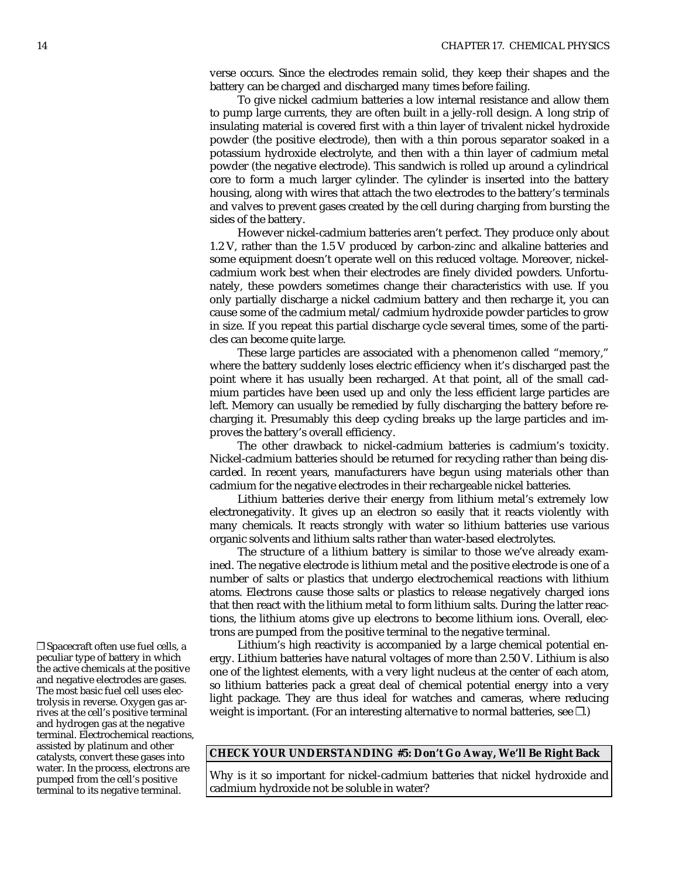verse occurs. Since the electrodes remain solid, they keep their shapes and the battery can be charged and discharged many times before failing.

To give nickel cadmium batteries a low internal resistance and allow them to pump large currents, they are often built in a jelly-roll design. A long strip of insulating material is covered first with a thin layer of trivalent nickel hydroxide powder (the positive electrode), then with a thin porous separator soaked in a potassium hydroxide electrolyte, and then with a thin layer of cadmium metal powder (the negative electrode). This sandwich is rolled up around a cylindrical core to form a much larger cylinder. The cylinder is inserted into the battery housing, along with wires that attach the two electrodes to the battery's terminals and valves to prevent gases created by the cell during charging from bursting the sides of the battery.

However nickel-cadmium batteries aren't perfect. They produce only about 1.2 V, rather than the 1.5 V produced by carbon-zinc and alkaline batteries and some equipment doesn't operate well on this reduced voltage. Moreover, nickelcadmium work best when their electrodes are finely divided powders. Unfortunately, these powders sometimes change their characteristics with use. If you only partially discharge a nickel cadmium battery and then recharge it, you can cause some of the cadmium metal/cadmium hydroxide powder particles to grow in size. If you repeat this partial discharge cycle several times, some of the particles can become quite large.

These large particles are associated with a phenomenon called "memory," where the battery suddenly loses electric efficiency when it's discharged past the point where it has usually been recharged. At that point, all of the small cadmium particles have been used up and only the less efficient large particles are left. Memory can usually be remedied by fully discharging the battery before recharging it. Presumably this deep cycling breaks up the large particles and improves the battery's overall efficiency.

The other drawback to nickel-cadmium batteries is cadmium's toxicity. Nickel-cadmium batteries should be returned for recycling rather than being discarded. In recent years, manufacturers have begun using materials other than cadmium for the negative electrodes in their rechargeable nickel batteries.

Lithium batteries derive their energy from lithium metal's extremely low electronegativity. It gives up an electron so easily that it reacts violently with many chemicals. It reacts strongly with water so lithium batteries use various organic solvents and lithium salts rather than water-based electrolytes.

The structure of a lithium battery is similar to those we've already examined. The negative electrode is lithium metal and the positive electrode is one of a number of salts or plastics that undergo electrochemical reactions with lithium atoms. Electrons cause those salts or plastics to release negatively charged ions that then react with the lithium metal to form lithium salts. During the latter reactions, the lithium atoms give up electrons to become lithium ions. Overall, electrons are pumped from the positive terminal to the negative terminal.

Lithium's high reactivity is accompanied by a large chemical potential energy. Lithium batteries have natural voltages of more than 2.50 V. Lithium is also one of the lightest elements, with a very light nucleus at the center of each atom, so lithium batteries pack a great deal of chemical potential energy into a very light package. They are thus ideal for watches and cameras, where reducing weight is important. (For an interesting alternative to normal batteries, see ❐.)

peculiar type of battery in which the active chemicals at the positive and negative electrodes are gases. The most basic fuel cell uses electrolysis in reverse. Oxygen gas arrives at the cell's positive terminal and hydrogen gas at the negative terminal. Electrochemical reactions, assisted by platinum and other catalysts, convert these gases into water. In the process, electrons are pumped from the cell's positive terminal to its negative terminal.

❐ Spacecraft often use fuel cells, a

### **CHECK YOUR UNDERSTANDING #5: Don't Go Away, We'll Be Right Back**

Why is it so important for nickel-cadmium batteries that nickel hydroxide and cadmium hydroxide not be soluble in water?